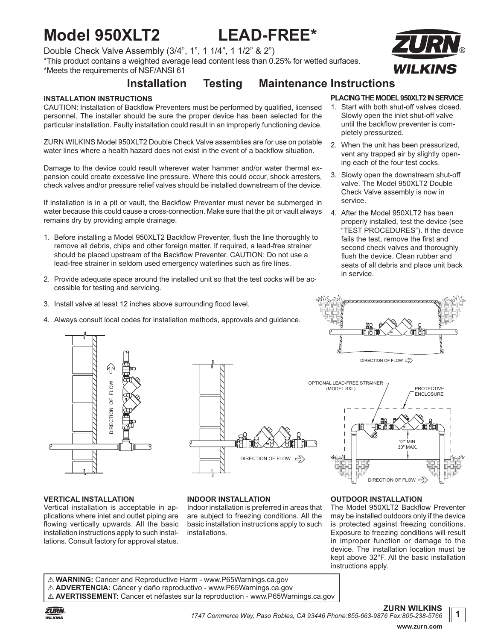# **Model 950XLT2 LEAD-FREE\***

Double Check Valve Assembly (3/4", 1", 1 1/4", 1 1/2" & 2") \*This product contains a weighted average lead content less than 0.25% for wetted surfaces. \*Meets the requirements of NSF/ANSI 61



### **Installation Testing Maintenance Instructions**

#### **INSTALLATION INSTRUCTIONS**

CAUTION: Installation of Backflow Preventers must be performed by qualified, licensed personnel. The installer should be sure the proper device has been selected for the particular installation. Faulty installation could result in an improperly functioning device.

ZURN WILKINS Model 950XLT2 Double Check Valve assemblies are for use on potable water lines where a health hazard does not exist in the event of a backflow situation.

Damage to the device could result wherever water hammer and/or water thermal expansion could create excessive line pressure. Where this could occur, shock arresters, check valves and/or pressure relief valves should be installed downstream of the device.

If installation is in a pit or vault, the Backflow Preventer must never be submerged in water because this could cause a cross-connection. Make sure that the pit or vault always remains dry by providing ample drainage.

- 1. Before installing a Model 950XLT2 Backflow Preventer, flush the line thoroughly to remove all debris, chips and other foreign matter. If required, a lead-free strainer should be placed upstream of the Backflow Preventer. CAUTION: Do not use a lead-free strainer in seldom used emergency waterlines such as fire lines.
- 2. Provide adequate space around the installed unit so that the test cocks will be accessible for testing and servicing.
- 3. Install valve at least 12 inches above surrounding flood level.
- 4. Always consult local codes for installation methods, approvals and guidance.

#### **PLACING THE MODEL 950XLT2 IN SERVICE**

- 1. Start with both shut-off valves closed. Slowly open the inlet shut-off valve until the backflow preventer is completely pressurized.
- 2. When the unit has been pressurized, vent any trapped air by slightly opening each of the four test cocks.
- 3. Slowly open the downstream shut-off valve. The Model 950XLT2 Double Check Valve assembly is now in service.
- 4. After the Model 950XLT2 has been properly installed, test the device (see "TEST PROCEDURES"). If the device fails the test, remove the first and second check valves and thoroughly flush the device. Clean rubber and seats of all debris and place unit back in service.



#### **VERTICAL INSTALLATION**

Vertical installation is acceptable in applications where inlet and outlet piping are flowing vertically upwards. All the basic installation instructions apply to such installations. Consult factory for approval status.



#### **INDOOR INSTALLATION**

Indoor installation is preferred in areas that are subject to freezing conditions. All the basic installation instructions apply to such installations.



**OUTDOOR INSTALLATION** The Model 950XLT2 Backflow Preventer may be installed outdoors only if the device is protected against freezing conditions. Exposure to freezing conditions will result in improper function or damage to the device. The installation location must be kept above 32°F. All the basic installation instructions apply.

! **WARNING:** Cancer and Reproductive Harm - www.P65Warnings.ca.gov ! **ADVERTENCIA:** Cáncer y daño reproductivo - www.P65Warnings.ca.gov ! **AVERTISSEMENT:** Cancer et néfastes sur la reproduction - www.P65Warnings.ca.gov



**ZURN WILKINS**

**1**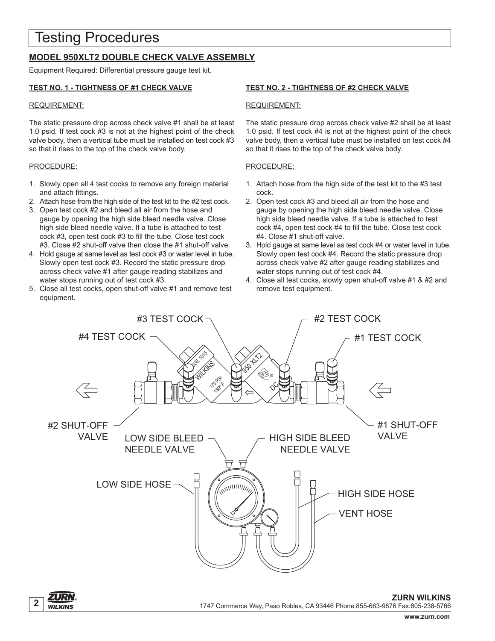## Testing Procedures

### **MODEL 950XLT2 DOUBLE CHECK VALVE ASSEMBLY**

Equipment Required: Differential pressure gauge test kit.

#### **TEST NO. 1 - TIGHTNESS OF #1 CHECK VALVE**

#### REQUIREMENT:

The static pressure drop across check valve #1 shall be at least 1.0 psid. If test cock #3 is not at the highest point of the check valve body, then a vertical tube must be installed on test cock #3 so that it rises to the top of the check valve body.

#### PROCEDURE:

- 1. Slowly open all 4 test cocks to remove any foreign material and attach fittings.
- 2. Attach hose from the high side of the test kit to the #2 test cock.
- 3. Open test cock #2 and bleed all air from the hose and gauge by opening the high side bleed needle valve. Close high side bleed needle valve. If a tube is attached to test cock #3, open test cock #3 to fill the tube. Close test cock #3. Close #2 shut-off valve then close the #1 shut-off valve.
- 4. Hold gauge at same level as test cock #3 or water level in tube. Slowly open test cock #3. Record the static pressure drop across check valve #1 after gauge reading stabilizes and water stops running out of test cock #3.
- 5. Close all test cocks, open shut-off valve #1 and remove test equipment.

#### **TEST NO. 2 - TIGHTNESS OF #2 CHECK VALVE**

#### REQUIREMENT:

The static pressure drop across check valve #2 shall be at least 1.0 psid. If test cock #4 is not at the highest point of the check valve body, then a vertical tube must be installed on test cock #4 so that it rises to the top of the check valve body.

#### PROCEDURE:

- 1. Attach hose from the high side of the test kit to the #3 test cock.
- 2. Open test cock #3 and bleed all air from the hose and gauge by opening the high side bleed needle valve. Close high side bleed needle valve. If a tube is attached to test cock #4, open test cock #4 to fill the tube. Close test cock #4. Close #1 shut-off valve.
- 3. Hold gauge at same level as test cock #4 or water level in tube. Slowly open test cock #4. Record the static pressure drop across check valve #2 after gauge reading stabilizes and water stops running out of test cock #4.
- 4. Close all test cocks, slowly open shut-off valve #1 & #2 and remove test equipment.



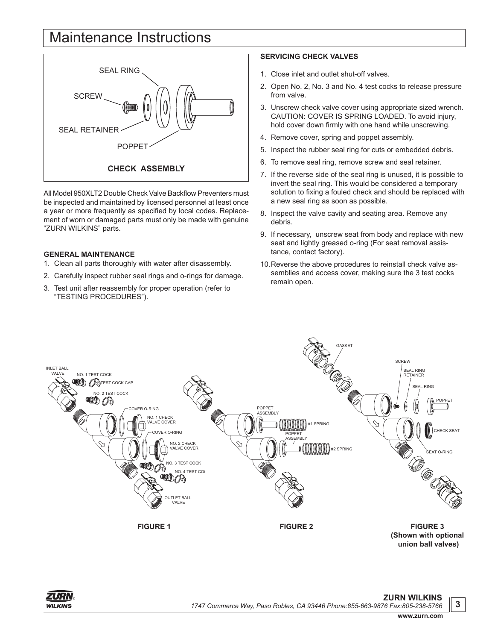## Maintenance Instructions



All Model 950XLT2 Double Check Valve Backflow Preventers must be inspected and maintained by licensed personnel at least once a year or more frequently as specified by local codes. Replacement of worn or damaged parts must only be made with genuine "ZURN WILKINS" parts.

#### **GENERAL MAINTENANCE**

- 1. Clean all parts thoroughly with water after disassembly.
- 2. Carefully inspect rubber seal rings and o-rings for damage.
- 3. Test unit after reassembly for proper operation (refer to "TESTING PROCEDURES").

#### **SERVICING CHECK VALVES**

- 1. Close inlet and outlet shut-off valves.
- 2. Open No. 2, No. 3 and No. 4 test cocks to release pressure from valve.
- 3. Unscrew check valve cover using appropriate sized wrench. CAUTION: COVER IS SPRING LOADED. To avoid injury, hold cover down firmly with one hand while unscrewing.
- 4. Remove cover, spring and poppet assembly.
- 5. Inspect the rubber seal ring for cuts or embedded debris.
- 6. To remove seal ring, remove screw and seal retainer.
- 7. If the reverse side of the seal ring is unused, it is possible to invert the seal ring. This would be considered a temporary solution to fixing a fouled check and should be replaced with a new seal ring as soon as possible.
- 8. Inspect the valve cavity and seating area. Remove any debris.
- 9. If necessary, unscrew seat from body and replace with new seat and lightly greased o-ring (For seat removal assistance, contact factory).
- 10.Reverse the above procedures to reinstall check valve assemblies and access cover, making sure the 3 test cocks remain open.